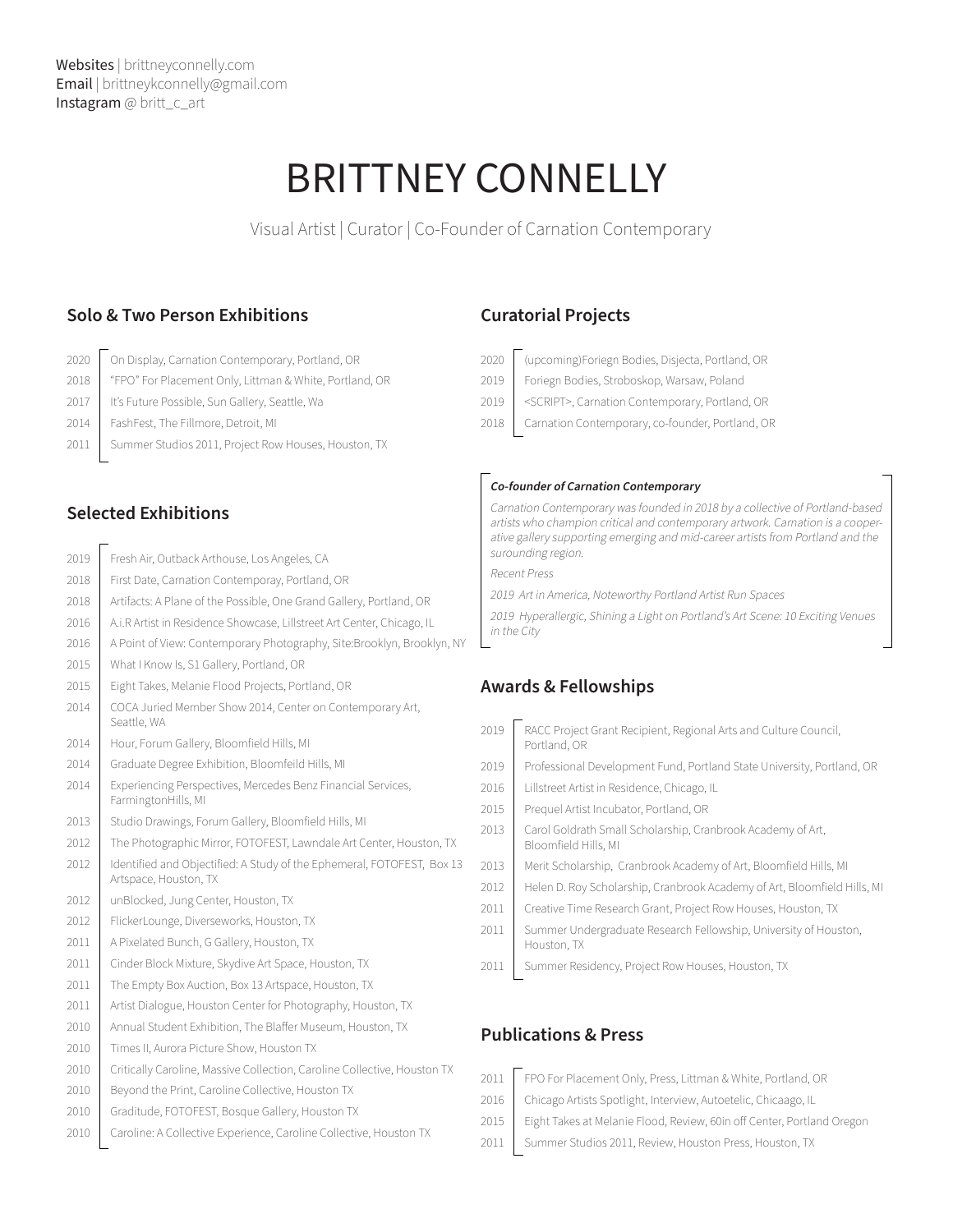# BRITTNEY CONNELLY

Visual Artist | Curator | Co-Founder of Carnation Contemporary

#### **Solo & Two Person Exhibitions**

- 2020 | On Display, Carnation Contemporary, Portland, OR
- 2018 | "FPO" For Placement Only, Littman & White, Portland, OR
- 2017 | It's Future Possible, Sun Gallery, Seattle, Wa
- 2014 FashFest, The Fillmore, Detroit, MI
- 2011 | Summer Studios 2011, Project Row Houses, Houston, TX

## **Selected Exhibitions**

- 2019 Fresh Air, Outback Arthouse, Los Angeles, CA
- 2018 First Date, Carnation Contemporay, Portland, OR
- 2018 | Artifacts: A Plane of the Possible, One Grand Gallery, Portland, OR
- 2016 | A.i.R Artist in Residence Showcase, Lillstreet Art Center, Chicago, IL
- 2016 A Point of View: Contemporary Photography, Site:Brooklyn, Brooklyn, NY
- 2015 | What I Know Is, S1 Gallery, Portland, OR
- 2015 | Eight Takes, Melanie Flood Projects, Portland, OR
- 2014 | COCA Juried Member Show 2014, Center on Contemporary Art, Seattle, WA
- 2014 | Hour, Forum Gallery, Bloomfield Hills, MI
- 2014 Graduate Degree Exhibition, Bloomfeild Hills, MI
- 2014 | Experiencing Perspectives, Mercedes Benz Financial Services, FarmingtonHills, MI
- 2013 | Studio Drawings, Forum Gallery, Bloomfield Hills, MI
- 2012 | The Photographic Mirror, FOTOFEST, Lawndale Art Center, Houston, TX
- 2012 | Identified and Objectified: A Study of the Ephemeral, FOTOFEST, Box 13 Artspace, Houston, TX
- 2012 | unBlocked, Jung Center, Houston, TX
- 2012 FlickerLounge, Diverseworks, Houston, TX
- 2011 | A Pixelated Bunch, G Gallery, Houston, TX
- 2011 | Cinder Block Mixture, Skydive Art Space, Houston, TX
- 2011 | The Empty Box Auction, Box 13 Artspace, Houston, TX
- 2011 | Artist Dialogue, Houston Center for Photography, Houston, TX
- 2010 Annual Student Exhibition, The Blaffer Museum, Houston, TX
- 2010 Times II, Aurora Picture Show, Houston TX
- 2010 | Critically Caroline, Massive Collection, Caroline Collective, Houston TX
- 2010 Beyond the Print, Caroline Collective, Houston TX
- 2010 Graditude, FOTOFEST, Bosque Gallery, Houston TX
- 2010 | Caroline: A Collective Experience, Caroline Collective, Houston TX

## **Curatorial Projects**

- 2020 (upcoming)Foriegn Bodies, Disjecta, Portland, OR
- 2019 Foriegn Bodies, Stroboskop, Warsaw, Poland
- 2019 | <SCRIPT>, Carnation Contemporary, Portland, OR
- 2018 | Carnation Contemporary, co-founder, Portland, OR

#### **Co-founder of Carnation Contemporary**

Carnation Contemporary was founded in 2018 by a collective of Portland-based artists who champion critical and contemporary artwork. Carnation is a cooperative gallery supporting emerging and mid-career artists from Portland and the surounding region.

Recent Press

2019 Art in America, Noteworthy Portland Artist Run Spaces

2019 Hyperallergic, Shining a Light on Portland's Art Scene: 10 Exciting Venues in the City

### **Awards & Fellowships**

| 2019 | RACC Project Grant Recipient, Regional Arts and Culture Council,<br>Portland, OR    |
|------|-------------------------------------------------------------------------------------|
| 2019 | Professional Development Fund, Portland State University, Portland, OR              |
| 2016 | Lillstreet Artist in Residence, Chicago, IL                                         |
| 2015 | Prequel Artist Incubator, Portland, OR                                              |
| 2013 | Carol Goldrath Small Scholarship, Cranbrook Academy of Art,<br>Bloomfield Hills, MI |
| 2013 | Merit Scholarship, Cranbrook Academy of Art, Bloomfield Hills, MI                   |
| 2012 | Helen D. Roy Scholarship, Cranbrook Academy of Art, Bloomfield Hills, MI            |
| 2011 | Creative Time Research Grant, Project Row Houses, Houston, TX                       |
| 2011 | Summer Undergraduate Research Fellowship, University of Houston,<br>Houston, TX     |
| 2011 | Summer Residency, Project Row Houses, Houston, TX                                   |
|      |                                                                                     |

### **Publications & Press**

2011 | FPO For Placement Only, Press, Littman & White, Portland, OR 2016 | Chicago Artists Spotlight, Interview, Autoetelic, Chicaago, IL 2015 | Eight Takes at Melanie Flood, Review, 60in off Center, Portland Oregon 2011 Summer Studios 2011, Review, Houston Press, Houston, TX